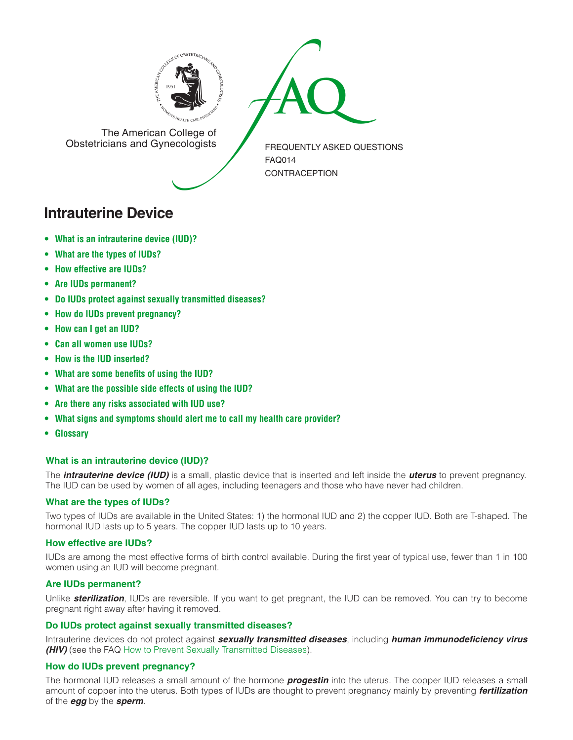



The American College of<br>Obstetricians and Gynecologists

FREQUENTLY ASKED QUESTIONS FAQ014 **CONTRACEPTION** 

# **Intrauterine Device**

- **• What is an [intrauterine](#page-0-0) device (IUD)?**
- **[• What](#page-0-1) are the types of IUDs?**
- **• How [effective](#page-0-2) are IUDs?**
- **• Are IUDs [permanent?](#page-0-3)**
- **• Do IUDs protect against sexually [transmitted](#page-0-4) diseases?**
- **• How do IUDs prevent [pregnancy?](#page-0-5)**
- **[• How](#page-1-0) can I get an IUD?**
- **• Can all [women](#page-1-1) use IUDs?**
- **• How is the IUD [inserted?](#page-1-2)**
- **• What are some [benefits](#page-1-3) of using the IUD?**
- **• What are the [possible](#page-1-4) side effects of using the IUD?**
- **• Are there any risks [associated](#page-1-5) with IUD use?**
- **• What signs and [symptoms](#page-1-6) should alert me to call my health care provider?**
- **[• Glossary](#page-1-7)**

## <span id="page-0-0"></span>**What is an intrauterine device (IUD)?**

The *intrauterine device (IUD)* is a small, plastic device that is inserted and left inside the *uterus* to prevent pregnancy. The IUD can be used by women of all ages, including teenagers and those who have never had children.

## <span id="page-0-1"></span>**What are the types of IUDs?**

Two types of IUDs are available in the United States: 1) the hormonal IUD and 2) the copper IUD. Both are T-shaped. The hormonal IUD lasts up to 5 years. The copper IUD lasts up to 10 years.

## <span id="page-0-2"></span>**How effective are IUDs?**

IUDs are among the most effective forms of birth control available. During the first year of typical use, fewer than 1 in 100 women using an IUD will become pregnant.

## <span id="page-0-3"></span>**Are IUDs permanent?**

Unlike *sterilization*, IUDs are reversible. If you want to get pregnant, the IUD can be removed. You can try to become pregnant right away after having it removed.

#### <span id="page-0-4"></span>**Do IUDs protect against sexually transmitted diseases?**

Intrauterine devices do not protect against *sexually transmitted diseases*, including *human immunodeficiency virus (HIV)* (see the FAQ [How to Prevent Sexually Transmitted Diseases\)](http://www.acog.org/publications/faq/faq009.cfm).

## <span id="page-0-5"></span>**How do IUDs prevent pregnancy?**

The hormonal IUD releases a small amount of the hormone *progestin* into the uterus. The copper IUD releases a small amount of copper into the uterus. Both types of IUDs are thought to prevent pregnancy mainly by preventing *fertilization* of the *egg* by the *sperm*.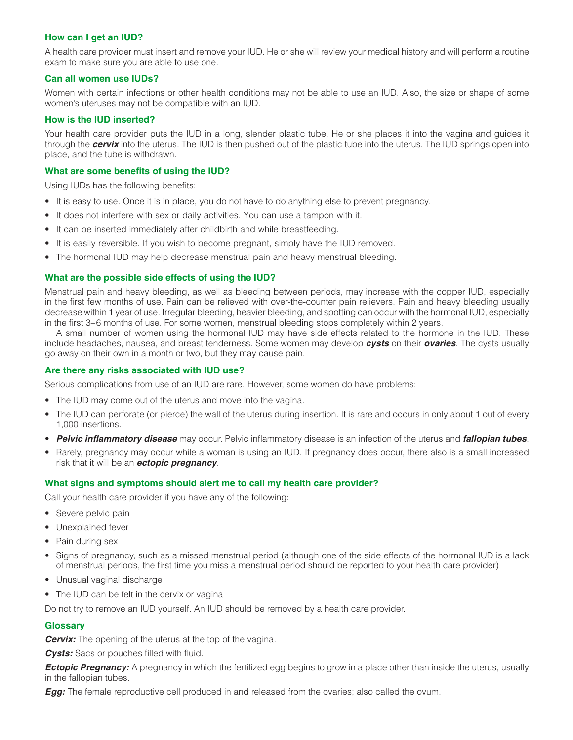### <span id="page-1-0"></span>**How can I get an IUD?**

A health care provider must insert and remove your IUD. He or she will review your medical history and will perform a routine exam to make sure you are able to use one.

#### <span id="page-1-1"></span>**Can all women use IUDs?**

Women with certain infections or other health conditions may not be able to use an IUD. Also, the size or shape of some women's uteruses may not be compatible with an IUD.

#### <span id="page-1-2"></span>**How is the IUD inserted?**

Your health care provider puts the IUD in a long, slender plastic tube. He or she places it into the vagina and guides it through the *cervix* into the uterus. The IUD is then pushed out of the plastic tube into the uterus. The IUD springs open into place, and the tube is withdrawn.

### <span id="page-1-3"></span>**What are some benefits of using the IUD?**

Using IUDs has the following benefits:

- It is easy to use. Once it is in place, you do not have to do anything else to prevent pregnancy.
- It does not interfere with sex or daily activities. You can use a tampon with it.
- It can be inserted immediately after childbirth and while breastfeeding.
- It is easily reversible. If you wish to become pregnant, simply have the IUD removed.
- The hormonal IUD may help decrease menstrual pain and heavy menstrual bleeding.

#### <span id="page-1-4"></span>**What are the possible side effects of using the IUD?**

Menstrual pain and heavy bleeding, as well as bleeding between periods, may increase with the copper IUD, especially in the first few months of use. Pain can be relieved with over-the-counter pain relievers. Pain and heavy bleeding usually decrease within 1 year of use. Irregular bleeding, heavier bleeding, and spotting can occur with the hormonal IUD, especially in the first 3–6 months of use. For some women, menstrual bleeding stops completely within 2 years.

A small number of women using the hormonal IUD may have side effects related to the hormone in the IUD. These include headaches, nausea, and breast tenderness. Some women may develop *cysts* on their *ovaries*. The cysts usually go away on their own in a month or two, but they may cause pain.

#### <span id="page-1-5"></span>**Are there any risks associated with IUD use?**

Serious complications from use of an IUD are rare. However, some women do have problems:

- The IUD may come out of the uterus and move into the vagina.
- The IUD can perforate (or pierce) the wall of the uterus during insertion. It is rare and occurs in only about 1 out of every 1,000 insertions.
- *Pelvic inflammatory disease* may occur. Pelvic inflammatory disease is an infection of the uterus and *fallopian tubes*.
- Rarely, pregnancy may occur while a woman is using an IUD. If pregnancy does occur, there also is a small increased risk that it will be an *ectopic pregnancy*.

#### <span id="page-1-6"></span>**What signs and symptoms should alert me to call my health care provider?**

Call your health care provider if you have any of the following:

- Severe pelvic pain
- Unexplained fever
- Pain during sex
- Signs of pregnancy, such as a missed menstrual period (although one of the side effects of the hormonal IUD is a lack of menstrual periods, the first time you miss a menstrual period should be reported to your health care provider)
- Unusual vaginal discharge
- The IUD can be felt in the cervix or vagina

Do not try to remove an IUD yourself. An IUD should be removed by a health care provider.

#### <span id="page-1-7"></span>**Glossary**

*Cervix:* The opening of the uterus at the top of the vagina.

**Cysts:** Sacs or pouches filled with fluid.

**Ectopic Pregnancy:** A pregnancy in which the fertilized egg begins to grow in a place other than inside the uterus, usually in the fallopian tubes.

*Egg:* The female reproductive cell produced in and released from the ovaries; also called the ovum.